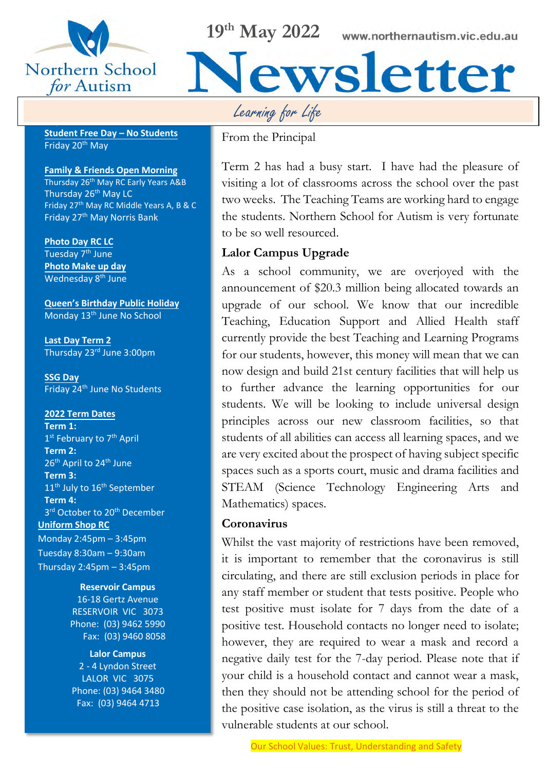

**Important Dates**

**19th May 2022**

www.northernautism.vic.edu.au

**Student Free Day – No Students** Friday 20th May

#### **Family & Friends Open Morning**

Thursday 26<sup>th</sup> May RC Early Years A&B Thursday 26<sup>th</sup> May LC Friday 27th May RC Middle Years A, B & C Friday 27th May Norris Bank

**Photo Day RC LC** Tuesday 7<sup>th</sup> June **Photo Make up day**  Wednesday 8<sup>th</sup> June

**Queen's Birthday Public Holiday** Monday 13th June No School

**Last Day Term 2**  Thursday 23rd June 3:00pm

**SSG Day** Friday 24<sup>th</sup> June No Students

#### **2022 Term Dates**

**Term 1:** 1<sup>st</sup> February to 7<sup>th</sup> April **Term 2:**  26<sup>th</sup> April to 24<sup>th</sup> June **Term 3:**  11<sup>th</sup> July to 16<sup>th</sup> September **Term 4:**  3<sup>rd</sup> October to 20<sup>th</sup> December **Uniform Shop RC** Monday 2:45pm – 3:45pm Tuesday 8:30am – 9:30am Thursday 2:45pm – 3:45pm

#### **Reservoir Campus**

16-18 Gertz Avenue RESERVOIR VIC 3073 Phone: (03) 9462 5990 Fax: (03) 9460 8058

**Lalor Campus** 2 - 4 Lyndon Street LALOR VIC 3075 Phone: (03) 9464 3480 Fax: (03) 9464 4713

Learning for Life

From the Principal

Term 2 has had a busy start. I have had the pleasure of visiting a lot of classrooms across the school over the past two weeks. The Teaching Teams are working hard to engage the students. Northern School for Autism is very fortunate to be so well resourced.

Newsletter

#### **Lalor Campus Upgrade**

As a school community, we are overjoyed with the announcement of \$20.3 million being allocated towards an upgrade of our school. We know that our incredible Teaching, Education Support and Allied Health staff currently provide the best Teaching and Learning Programs for our students, however, this money will mean that we can now design and build 21st century facilities that will help us to further advance the learning opportunities for our students. We will be looking to include universal design principles across our new classroom facilities, so that students of all abilities can access all learning spaces, and we are very excited about the prospect of having subject specific spaces such as a sports court, music and drama facilities and STEAM (Science Technology Engineering Arts and Mathematics) spaces.

#### **Coronavirus**

Whilst the vast majority of restrictions have been removed, it is important to remember that the coronavirus is still circulating, and there are still exclusion periods in place for any staff member or student that tests positive. People who test positive must isolate for 7 days from the date of a positive test. Household contacts no longer need to isolate; however, they are required to wear a mask and record a negative daily test for the 7-day period. Please note that if your child is a household contact and cannot wear a mask, then they should not be attending school for the period of the positive case isolation, as the virus is still a threat to the vulnerable students at our school.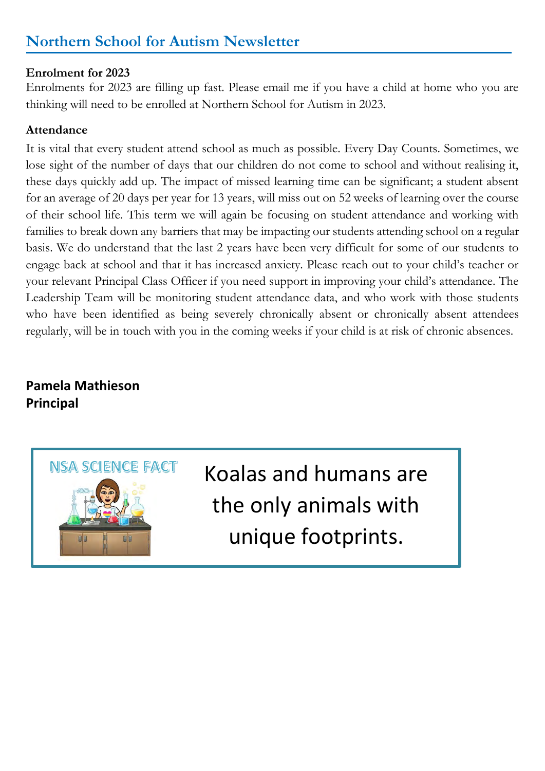# **Northern School for Autism Newsletter**

#### **Enrolment for 2023**

Enrolments for 2023 are filling up fast. Please email me if you have a child at home who you are thinking will need to be enrolled at Northern School for Autism in 2023.

#### **Attendance**

It is vital that every student attend school as much as possible. Every Day Counts. Sometimes, we lose sight of the number of days that our children do not come to school and without realising it, these days quickly add up. The impact of missed learning time can be significant; a student absent for an average of 20 days per year for 13 years, will miss out on 52 weeks of learning over the course of their school life. This term we will again be focusing on student attendance and working with families to break down any barriers that may be impacting our students attending school on a regular basis. We do understand that the last 2 years have been very difficult for some of our students to engage back at school and that it has increased anxiety. Please reach out to your child's teacher or your relevant Principal Class Officer if you need support in improving your child's attendance. The Leadership Team will be monitoring student attendance data, and who work with those students who have been identified as being severely chronically absent or chronically absent attendees regularly, will be in touch with you in the coming weeks if your child is at risk of chronic absences.

## **Pamela Mathieson Principal**



Koalas and humans are the only animals with unique footprints.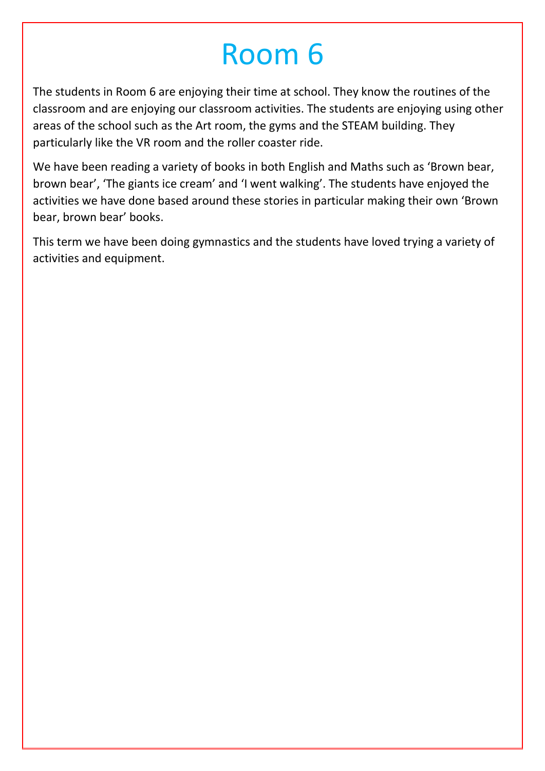# Room 6

The students in Room 6 are enjoying their time at school. They know the routines of the classroom and are enjoying our classroom activities. The students are enjoying using other areas of the school such as the Art room, the gyms and the STEAM building. They particularly like the VR room and the roller coaster ride.

We have been reading a variety of books in both English and Maths such as 'Brown bear, brown bear', 'The giants ice cream' and 'I went walking'. The students have enjoyed the activities we have done based around these stories in particular making their own 'Brown bear, brown bear' books.

This term we have been doing gymnastics and the students have loved trying a variety of activities and equipment.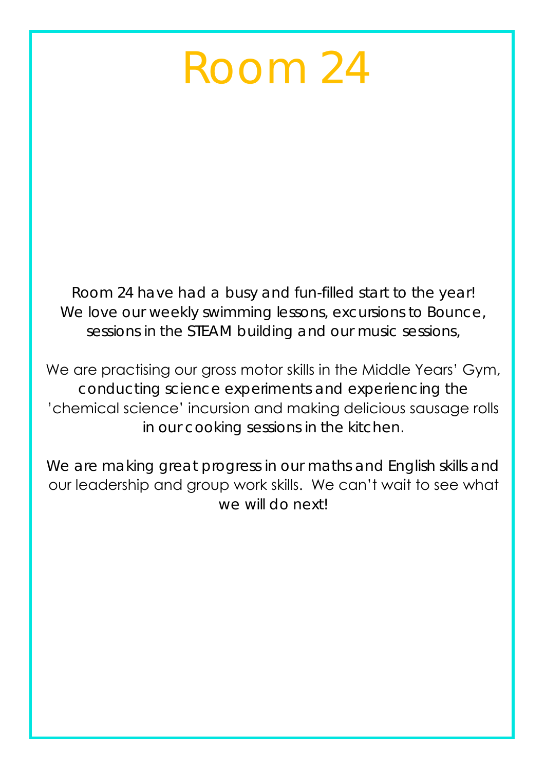# Room 24

Room 24 have had a busy and fun-filled start to the year! We love our weekly swimming lessons, excursions to Bounce, sessions in the STEAM building and our music sessions,

We are practising our gross motor skills in the Middle Years' Gym, conducting science experiments and experiencing the 'chemical science' incursion and making delicious sausage rolls in our cooking sessions in the kitchen.

We are making great progress in our maths and English skills and our leadership and group work skills. We can't wait to see what we will do next!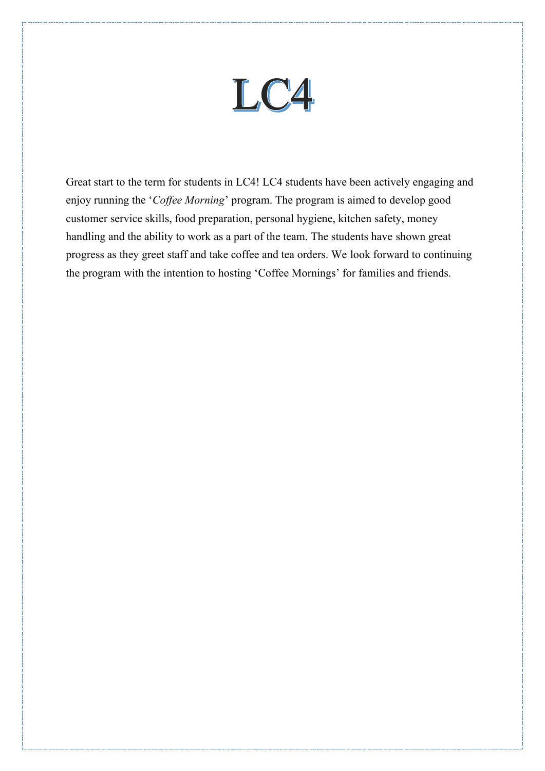

Great start to the term for students in LC4! LC4 students have been actively engaging and enjoy running the '*Coffee Morning*' program. The program is aimed to develop good customer service skills, food preparation, personal hygiene, kitchen safety, money handling and the ability to work as a part of the team. The students have shown great progress as they greet staff and take coffee and tea orders. We look forward to continuing the program with the intention to hosting 'Coffee Mornings' for families and friends.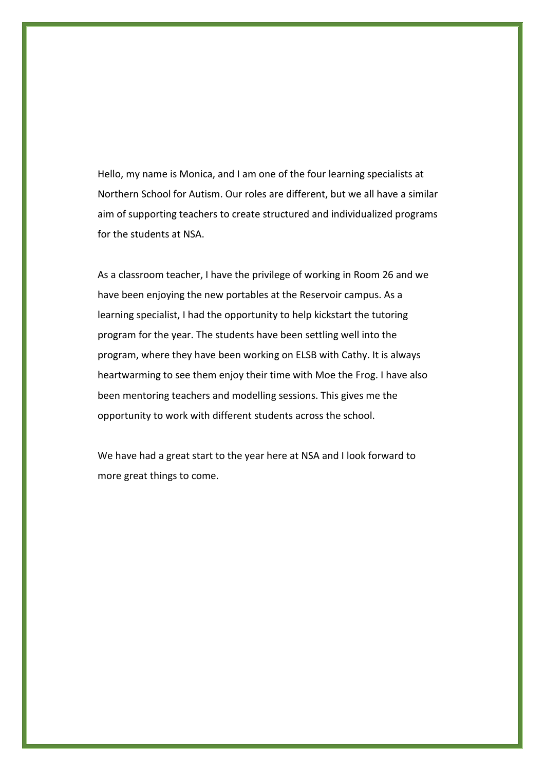Hello, my name is Monica, and I am one of the four learning specialists at Northern School for Autism. Our roles are different, but we all have a similar aim of supporting teachers to create structured and individualized programs for the students at NSA.

As a classroom teacher, I have the privilege of working in Room 26 and we have been enjoying the new portables at the Reservoir campus. As a learning specialist, I had the opportunity to help kickstart the tutoring program for the year. The students have been settling well into the program, where they have been working on ELSB with Cathy. It is always heartwarming to see them enjoy their time with Moe the Frog. I have also been mentoring teachers and modelling sessions. This gives me the opportunity to work with different students across the school.

We have had a great start to the year here at NSA and I look forward to more great things to come.